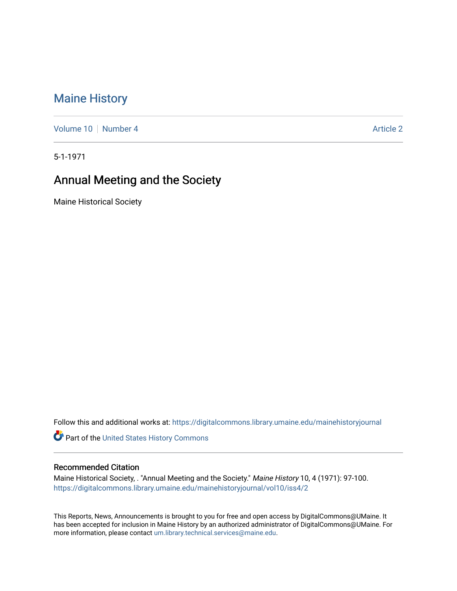# [Maine History](https://digitalcommons.library.umaine.edu/mainehistoryjournal)

[Volume 10](https://digitalcommons.library.umaine.edu/mainehistoryjournal/vol10) [Number 4](https://digitalcommons.library.umaine.edu/mainehistoryjournal/vol10/iss4) Article 2

5-1-1971

# Annual Meeting and the Society

Maine Historical Society

Follow this and additional works at: [https://digitalcommons.library.umaine.edu/mainehistoryjournal](https://digitalcommons.library.umaine.edu/mainehistoryjournal?utm_source=digitalcommons.library.umaine.edu%2Fmainehistoryjournal%2Fvol10%2Fiss4%2F2&utm_medium=PDF&utm_campaign=PDFCoverPages) 

Part of the [United States History Commons](http://network.bepress.com/hgg/discipline/495?utm_source=digitalcommons.library.umaine.edu%2Fmainehistoryjournal%2Fvol10%2Fiss4%2F2&utm_medium=PDF&utm_campaign=PDFCoverPages) 

#### Recommended Citation

Maine Historical Society, . "Annual Meeting and the Society." Maine History 10, 4 (1971): 97-100. [https://digitalcommons.library.umaine.edu/mainehistoryjournal/vol10/iss4/2](https://digitalcommons.library.umaine.edu/mainehistoryjournal/vol10/iss4/2?utm_source=digitalcommons.library.umaine.edu%2Fmainehistoryjournal%2Fvol10%2Fiss4%2F2&utm_medium=PDF&utm_campaign=PDFCoverPages)

This Reports, News, Announcements is brought to you for free and open access by DigitalCommons@UMaine. It has been accepted for inclusion in Maine History by an authorized administrator of DigitalCommons@UMaine. For more information, please contact [um.library.technical.services@maine.edu](mailto:um.library.technical.services@maine.edu).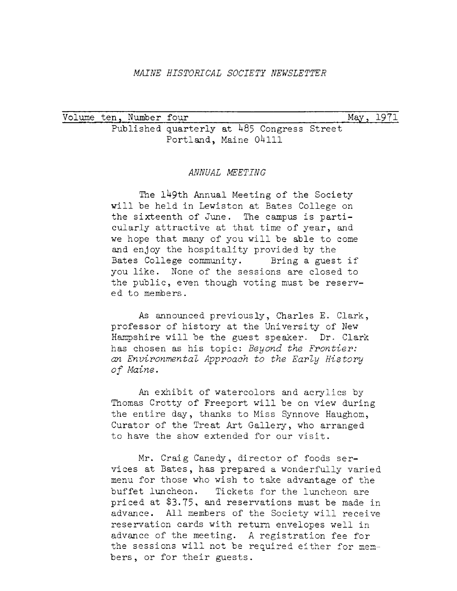#### *MAINE HISTORICAL SOCIETY NEWSLETTER*

Volume ten, Number four entitled and the May, 1971 Published quarterly at  $485$  Congress Street Portland, Maine 04111

#### *ANNUAL MEETING*

The 149th Annual Meeting of the Society will be held in Lewiston at Bates College on the sixteenth of June. The campus is particularly attractive at that time of year, and we hope that many of you will be able to come and enjoy the hospitality provided by the Bates College community. Bring <sup>a</sup> guest if you like. None of the sessions are closed to the public, even though voting must be reserved to members.

As announced previously, Charles E. Clark, professor of history at the University of New Hampshire will be the guest speaker. Dr. Clark has chosen as his topic: *Beyond the Frontier: an Environmental Approach to the Early History of Maine.*

An exhibit of watercolors and acrylics by Thomas Crotty of Freeport will be on view during the entire day, thanks to Miss Synnove Haughom, Curator of the Treat Art Gallery, who arranged to have the show extended for our visit.

Mr. Craig Canedy, director of foods services at Bates, has prepared a wonderfully varied menu for those who wish to take advantage of the buffet luncheon. Tickets for the luncheon are priced at  $$3.75$ , and reservations must be made in advance. All members of the Society will receive reservation cards with return envelopes well in advance of the meeting. A registration fee for the sessions will not be required either for members, or for their guests.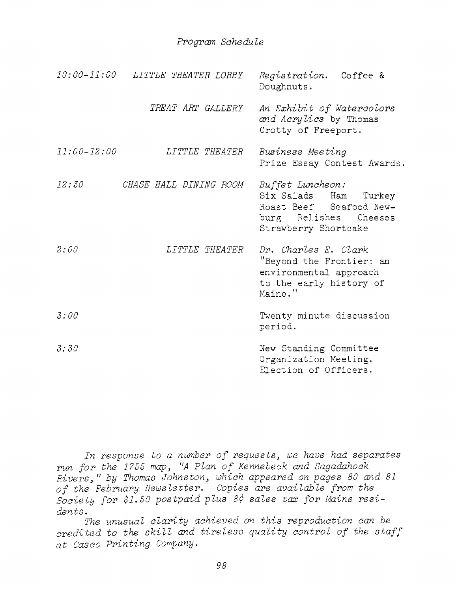### *Program Schedule*

|                 | 10:00-11:00 LITTLE THEATER LOBBY | Registration. Coffee &<br>Doughnuts.                                                                                  |
|-----------------|----------------------------------|-----------------------------------------------------------------------------------------------------------------------|
|                 | <i>TREAT ART GALLERY</i>         | An Exhibit of Watercolors<br>and Acrylics by Thomas<br>Crotty of Freeport.                                            |
| $11:00 - 12:00$ | <i>LITTLE THEATER</i>            | Business Meeting<br>Prize Essay Contest Awards.                                                                       |
| 12:30           | CHASE HALL DINING ROOM           | Buffet Luncheon:<br>Six Salads Ham Turkey<br>Roast Beef Seafood New-<br>burg Relishes Cheeses<br>Strawberry Shortcake |
| 2:00            | LITTLE THEATER                   | Dr. Charles E. Clark<br>"Beyond the Frontier: an<br>environmental approach<br>to the early history of<br>Maine."      |
| 3:00            |                                  | Twenty minute discussion<br>period.                                                                                   |
| 3:30            |                                  | New Standing Committee<br>Organization Meeting.<br>Election of Officers.                                              |

*In response to <sup>a</sup> number of requests<sup>&</sup>gt; we have had separates run for the <sup>1735</sup> map<sup>3</sup> "A Plan of Kennebeck and Sagadahock Rivers^ " by Thomas Johnston^ which appeared on pages 80 and <sup>81</sup> of the February Newsletter. Copies are available from the Society for \$1.50 postpaid plus 8\$ sales tax for Maine residents.*

*The unusual clarity achieved on this reproduction can be credited to the skill and tireless quality control of the staff at Casco Printing Company.*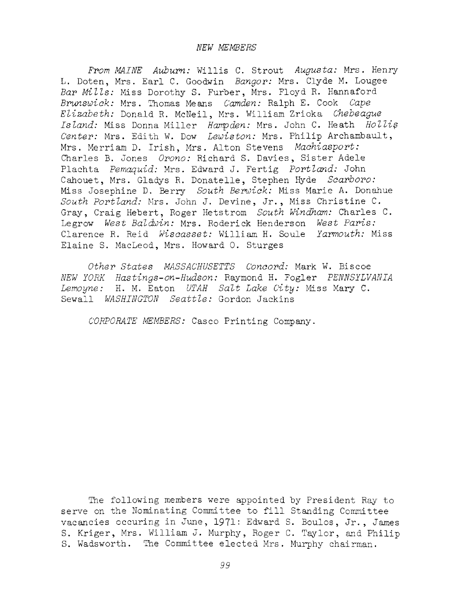*From MAINE Auburn:* Willis C. Strout *Augusta:* Mrs. Henry L. Doten, Mrs. Earl C. Goodwin *Bangor:* Mrs. Clyde M. Lougee *Bar Mitts:* Miss Dorothy S. Furber, Mrs. Floyd R. Hannaford *Brunswick:* Mrs. Thomas Means *Camden:* Ralph E. Cook *Cape Etizabeth:* Donald R. McNeil, Mrs. William Zrioka *Chebeague Istand:* Miss Donna Miller *Hampden:* Mrs. John C. Heath *Hottip Center:* Mrs. Edith W. Dow *Lewiston:* Mrs. Philip Archambault, Mrs. Merriam D. Irish, Mrs. Alton Stevens *Machiasport:* Charles B. Jones *Orono:* Richard S. Davies, Sister Adele Plachta *Pemaquid:* Mrs. Edward J. Fertig *Porttand:* John Cahouet, Mrs. Gladys R. Donatelle, Stephen Hyde *Scarboro:* Miss Josephine D. Berry *South Berwick:* Miss Marie A. Donahue *South Porttand:* Mrs. John J. Devine, Jr., Miss Christine C. Gray, Craig Hebert, Roger Hetstrom *South Windham:* Charles C. Legrow *West Batdwin:* Mrs. Roderick Henderson *West Paris:* Clarence R. Reid *Wiscasset:* William H. Soule *Yarmouth:* Miss Elaine S. MacLeod, Mrs. Howard 0. Sturges

*Other States MASSACHUSETTS Concord:* Mark W. Biscoe *NEW YORK Has tings-on-Hudson:* Raymond H. Fogler *PENNSYLVANIA Lemoyne:* H. M. Eaton *UTAH Satt Lake City:* Miss Mary C. Sewall *WASHINGTON Seattte:* Gordon Jackins

*CORPORATE MEMBERS:* Casco Printing Company.

The following members were appointed by President Ray to serve on the Nominating Committee to fill Standing Committee vacancies occuring in June, 1971: Edward S. Boulos, Jr., James S. Kriger, Mrs. William J. Murphy, Roger C. Taylor, and Philip S. Wadsworth. The Committee elected Mrs. Murphy chairman.